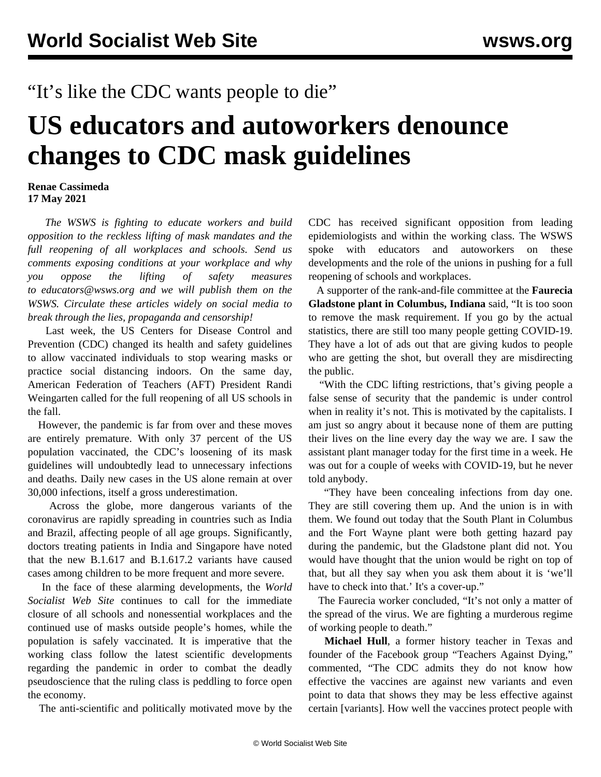## "It's like the CDC wants people to die"

## **US educators and autoworkers denounce changes to CDC mask guidelines**

## **Renae Cassimeda 17 May 2021**

 *The WSWS is fighting to educate workers and build opposition to the reckless lifting of mask mandates and the full reopening of all workplaces and schools. Send us comments exposing conditions at your workplace and why you oppose the lifting of safety measures to [educators@wsws.org](mailto:educators@wsws.org) and we will publish them on the WSWS. Circulate these articles widely on social media to break through the lies, propaganda and censorship!*

 Last week, the US Centers for Disease Control and Prevention (CDC) changed its health and safety guidelines to allow vaccinated individuals to stop wearing masks or practice social distancing indoors. On the same day, American Federation of Teachers (AFT) President Randi Weingarten called for the full reopening of all US schools in the fall.

 However, the pandemic is far from over and these moves are entirely premature. With only 37 percent of the US population vaccinated, the CDC's loosening of its mask guidelines will undoubtedly lead to unnecessary infections and deaths. Daily new cases in the US alone remain at over 30,000 infections, itself a gross underestimation.

 Across the globe, more dangerous variants of the coronavirus are rapidly spreading in countries such as India and Brazil, affecting people of all age groups. Significantly, doctors treating patients in India and Singapore have noted that the new B.1.617 and B.1.617.2 variants have caused cases among children to be more frequent and more severe.

 In the face of these alarming developments, the *World Socialist Web Site* continues to call for the immediate closure of all schools and nonessential workplaces and the continued use of masks outside people's homes, while the population is safely vaccinated. It is imperative that the working class follow the latest scientific developments regarding the pandemic in order to combat the deadly pseudoscience that the ruling class is peddling to force open the economy.

The anti-scientific and politically motivated move by the

CDC has received significant opposition from leading epidemiologists and within the working class. The WSWS spoke with educators and autoworkers on these developments and the role of the unions in pushing for a full reopening of schools and workplaces.

 A supporter of the rank-and-file committee at the **Faurecia Gladstone plant in Columbus, Indiana** said, "It is too soon to remove the mask requirement. If you go by the actual statistics, there are still too many people getting COVID-19. They have a lot of ads out that are giving kudos to people who are getting the shot, but overall they are misdirecting the public.

 "With the CDC lifting restrictions, that's giving people a false sense of security that the pandemic is under control when in reality it's not. This is motivated by the capitalists. I am just so angry about it because none of them are putting their lives on the line every day the way we are. I saw the assistant plant manager today for the first time in a week. He was out for a couple of weeks with COVID-19, but he never told anybody.

 "They have been concealing infections from day one. They are still covering them up. And the union is in with them. We found out today that the South Plant in Columbus and the Fort Wayne plant were both getting hazard pay during the pandemic, but the Gladstone plant did not. You would have thought that the union would be right on top of that, but all they say when you ask them about it is 'we'll have to check into that.' It's a cover-up."

 The Faurecia worker concluded, "It's not only a matter of the spread of the virus. We are fighting a murderous regime of working people to death."

 **Michael Hull**, a former history teacher in Texas and founder of the Facebook group "Teachers Against Dying," commented, "The CDC admits they do not know how effective the vaccines are against new variants and even point to data that shows they may be less effective against certain [variants]. How well the vaccines protect people with